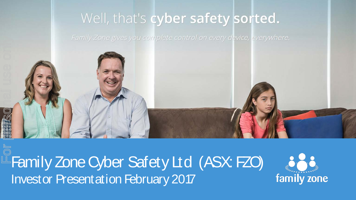### Well, that's cyber safety sorted.



Family Zone Cyber Safety Ltd (ASX: FZO)

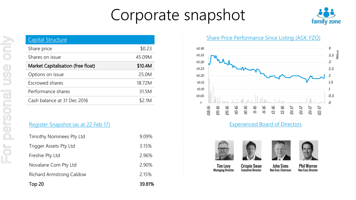## Corporate snapshot



| <b>Capital Structure</b>           |         |
|------------------------------------|---------|
| Share price                        | \$0.23  |
| Shares on issue                    | 45.09M  |
| Market Capitalisation (free float) | \$10.4M |
| Options on issue                   | 25.0M   |
| Escrowed shares                    | 18.72M  |
| Performance shares                 | 31.5M   |
| Cash balance at 31 Dec 2016        | \$2.1M  |

#### Register Snapshot (as at 22 Feb 17)

| Top 20                   | 39.81% |
|--------------------------|--------|
| Richard Armstrong Caldow | 2.15%  |
| Novalane Com Pty Ltd     | 2.90%  |
| Freshie Pty Ltd          | 2.96%  |
| Trigger Assets Pty Ltd   | 3.15%  |
| Timothy Nominees Pty Ltd | 9.09%  |

Share Price Performance Since Listing (ASX: FZO)



#### Experienced Board of Directors









**Phil Warren Non Exec Director** 

**Tim Levy Managing Director** 

**Crispin Swan Executive Director** 

**John Sims Non Exec Chairman**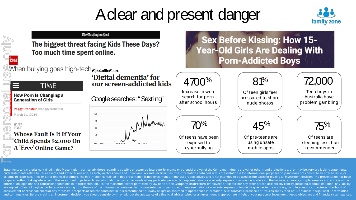## A clear and present danger





Statements and material contained in this Presentation, particularly those regarding possible or assumed future performance or potential growth of the Company, industry growth or other trend projections are, or may be, for Such statements relate to future events and expectations and, as such, involve known and unknown risks and uncertainties. The information contained in this presentation is for informational purposes only and does not const arrange to issue, securities or other financial products. The information contained in this presentation is not investment or financial product advice and is not intended to be used as the basis for making an investment de prepared without taking into account the investment objectives, financial situation or particular needs of any particular person. No representation or warranty, express or implied, is made as to the fairness, accuracy, com information, opinions and conclusions contained in this presentation. To the maximum extent permitted by law none of the Company, its directors, employees or agents, nor any other person accepts any liability, including, w arising out of fault of negligence, for any loss arising from the use of the information contained in this presentation. In particular, no representation or warranty, express or implied is given as to the accuracy, complet achievement or reasonableness or any forecasts, prospects or returns contained in this presentation nor is any obligation assumed to update such information. Such forecasts, prospects or returns are by their nature subject and contingencies. Before making an investment decision, you should consider, with or without the assistance of a financial adviser, whether an investment is appropriate in light of your particular investment needs, object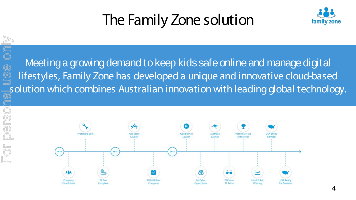## The Family Zone solution



Meeting a growing demand to keep kids safe online and manage digital lifestyles, Family Zone has developed a unique and innovative cloud-based solution which combines Australian innovation with leading global technology. For personal use only

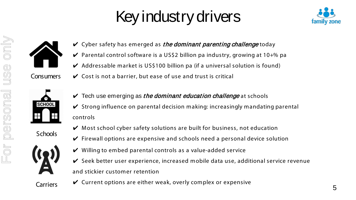## Key industry drivers





- $\vee$  Cyber safety has emerged as *the dominant parenting challenge* today
- $\vee$  Parental control software is a US\$2 billion pa industry, growing at 10+% pa
- $\vee$  Addressable market is US\$100 billion pa (if a universal solution is found)
- Consumers  $\mathcal V$  Cost is not a barrier, but ease of use and trust is critical



- $\vee$  Tech use emerging as *the dominant education challenge* at schools
- $\checkmark$  Strong influence on parental decision making: increasingly mandating parental controls
- **Schools**
- 
- $\vee$  Most school cyber safety solutions are built for business, not education
- $\vee$  Firewall options are expensive and schools need a personal device solution
- $\vee$  Willing to embed parental controls as a value-added service
- ✔ Seek better user experience, increased mobile data use, additional service revenue and stickier customer retention
- $Carriers$   $\boldsymbol{\checkmark}$  Current options are either weak, overly complex or expensive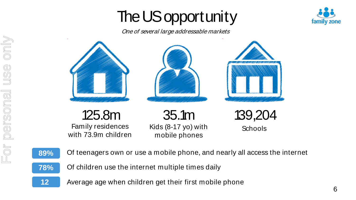# The US opportunity



One of several large addressable markets





only

**12**

- Of teenagers own or use a mobile phone, and nearly all access the internet **89%**
- Of children use the internet multiple times daily **78%**
	- Average age when children get their first mobile phone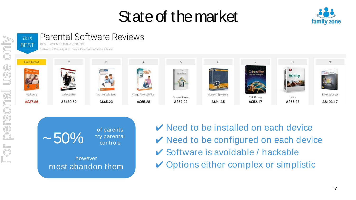## State of the market







- $\vee$  Need to be installed on each device  $\vee$  Need to be configured on each device  $\vee$  Software is avoidable / hackable
- $\vee$  Options either complex or simplistic

 $OT$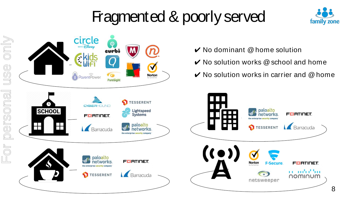## Fragmented & poorly served





- $\vee$  No dominant  $@$  home solution
- $\vee$  No solution works  $@$  school and home
- $\vee$  No solution works in carrier and @ home

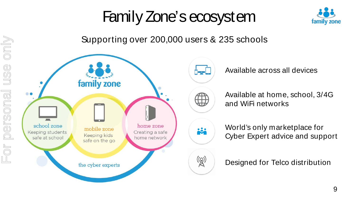## Family Zone's ecosystem



Supporting over 200,000 users & 235 schools



Available across all devices

Available at home, school, 3/4G and WiFi networks

World's only marketplace for Cyber Expert advice and support

Designed for Telco distribution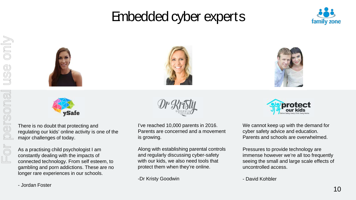### Embedded cyber experts













There is no doubt that protecting and regulating our kids' online activity is one of the major challenges of today.

As a practising child psychologist I am constantly dealing with the impacts of connected technology. From self esteem, to gambling and porn addictions. These are no longer rare experiences in our schools.

I've reached 10,000 parents in 2016. Parents are concerned and a movement is growing.

Along with establishing parental controls and regularly discussing cyber-safety with our kids, we also need tools that protect them when they're online.

-Dr Kristy Goodwin



We cannot keep up with the demand for cyber safety advice and education. Parents and schools are overwhelmed.

Pressures to provide technology are immense however we're all too frequently seeing the small and large scale effects of uncontrolled access.

- David Kohbler

- Jordan Foster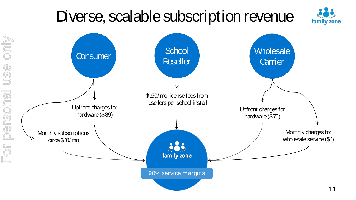## Diverse, scalable subscription revenue

family zone

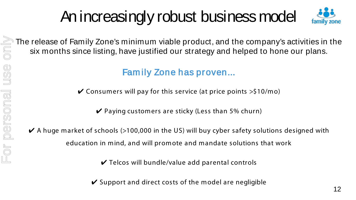# An increasingly robust business model



The release of Family Zone's minimum viable product, and the company's activities in the six months since listing, have justified our strategy and helped to hone our plans.

#### Fam ily Zone has proven...

 $\checkmark$  Consumers will pay for this service (at price points  $>$ \$10/mo)

 $\vee$  Paying customers are sticky (Less than 5% churn)

 $\blacktriangleright$  A huge market of schools (>100,000 in the US) will buy cyber safety solutions designed with education in mind, and will promote and mandate solutions that work

 $\vee$  Telcos will bundle/value add parental controls

 $\vee$  Support and direct costs of the model are negligible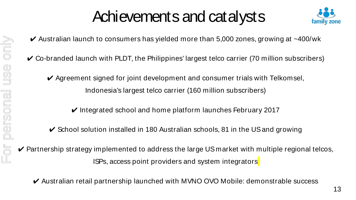## Achievements and catalysts



- $\vee$  Australian launch to consumers has yielded more than 5,000 zones, growing at  $\sim$ 400/wk
- $\checkmark$  Co-branded launch with PLDT, the Philippines' largest telco carrier (70 million subscribers)
	- $\vee$  Agreement signed for joint development and consumer trials with Telkomsel, Indonesia's largest telco carrier (160 million subscribers)
		- $\vee$  Integrated school and home platform launches February 2017
	- $\checkmark$  School solution installed in 180 Australian schools, 81 in the US and growing
- $\vee$  Partnership strategy implemented to address the large US market with multiple regional telcos, ISPs, access point providers and system integrators
	- ✔ Australian retail partnership launched with MVNO OVO Mobile: demonstrable success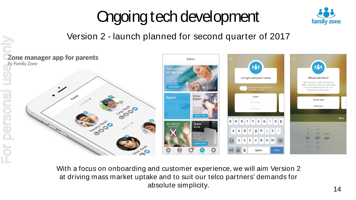# Ongoing tech development



#### Version 2 - launch planned for second quarter of 2017



With a focus on onboarding and customer experience, we will aim Version 2 at driving mass market uptake and to suit our telco partners' demands for absolute simplicity.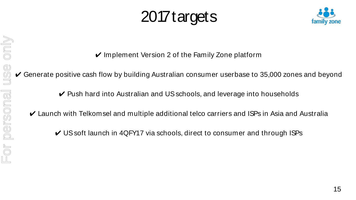## 2017 targets



 $\vee$  Implement Version 2 of the Family Zone platform

 $\vee$  Generate positive cash flow by building Australian consumer userbase to 35,000 zones and beyond

- ✔ Push hard into Australian and US schools, and leverage into households
- $\vee$  Launch with Telkomsel and multiple additional telco carriers and ISPs in Asia and Australia
	- ✔ US soft launch in 4QFY17 via schools, direct to consumer and through ISPs